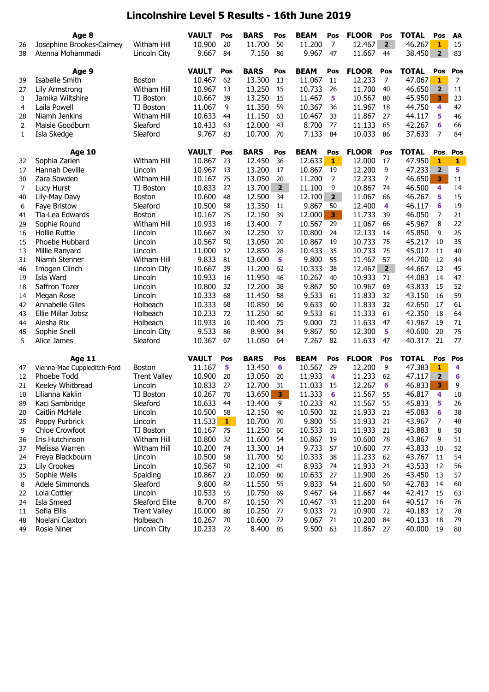## **Lincolnshire Level 5 Results - 16th June 2019**

|                | Age 8                       |                     | <b>VAULT</b> | Pos          | <b>BARS</b> | Pos            | <b>BEAM</b> | Pos            | <b>FLOOR</b> | Pos            | <b>TOTAL</b> | Pos                     | AA     |
|----------------|-----------------------------|---------------------|--------------|--------------|-------------|----------------|-------------|----------------|--------------|----------------|--------------|-------------------------|--------|
| 26             | Josephine Brookes-Cairney   | <b>Witham Hill</b>  | 10.900       | 20           | 11.700      | 50             | 11.200      | $\overline{7}$ | 12.467       | $\overline{2}$ | 46.267       | $\mathbf{1}$            | 15     |
| 38             | Atenna Mohammadi            | Lincoln City        | 9.667        | 84           | 7.150       | 86             | 9.967       | 47             | 11.667       | 44             | 38.450       | $\overline{2}$          | 83     |
|                | Age 9                       |                     | <b>VAULT</b> | Pos          | <b>BARS</b> | Pos            | <b>BEAM</b> | Pos            | <b>FLOOR</b> | Pos            | <b>TOTAL</b> | Pos                     | Pos    |
| 39             | Isabelle Smith              | <b>Boston</b>       | 10.467       | 62           | 13.300      | 13             | 11.067      | 11             | 12.233       | 7              | 47.067       | 1                       | 7      |
| 27             | Lily Armstrong              | Witham Hill         | 10.967       | 13           | 13.250      | 15             | 10.733      | 26             | 11.700       | 40             | 46.650       | $\overline{2}$          | 11     |
| 3              | Jamika Wiltshire            | TJ Boston           | 10.667       | 39           | 13.250      | 15             | 11.467      | 5              | 10.567       | 80             | 45.950       | $\overline{\mathbf{3}}$ | 23     |
| $\overline{4}$ | Laila Powell                | TJ Boston           | 11.067       | 9            | 11.350      | 59             | 10.367      | 36             | 11.967       | 18             | 44.750       | 4                       | 42     |
| 28             | Niamh Jenkins               | <b>Witham Hill</b>  | 10.633       | 44           | 11.150      | 63             | 10.467      | 33             | 11.867       | 27             | 44.117       | 5                       | 46     |
| $\overline{2}$ | Maisie Goodburn             | Sleaford            | 10.433       | 63           | 12,000      | 43             | 8.700       | 77             | 11.133       | 65             | 42.267       | 6                       | 66     |
| 1              | Isla Skedge                 | Sleaford            | 9.767        | 83           | 10.700      | 70             | 7.133       | 84             | 10.033       | 86             | 37.633       | 7                       | 84     |
|                | <b>Age 10</b>               |                     | <b>VAULT</b> | Pos          | <b>BARS</b> | Pos            | <b>BEAM</b> | Pos            | <b>FLOOR</b> | Pos            | <b>TOTAL</b> | Pos                     | Pos    |
| 32             | Sophia Zarien               | Witham Hill         | 10.867       | 23           | 12.450      | 36             | 12.633      | $\mathbf{1}$   | 12.000       | 17             | 47.950       | $\mathbf{1}$            | 1      |
| 17             | Hannah Deville              | Lincoln             | 10.967       | 13           | 13.200      | 17             | 10.867      | 19             | 12.200       | 9              | 47.233       | $\overline{2}$          | 5      |
| 30             | Zara Sowden                 | Witham Hill         | 10.167       | 75           | 13.050      | 20             | 11.200      | 7              | 12.233       | 7              | 46.650       | 3                       | $11\,$ |
| 7              | Lucy Hurst                  | TJ Boston           | 10.833       | 27           | 13.700      | $\overline{2}$ | 11.100      | 9              | 10.867       | 74             | 46.500       | 4                       | 14     |
| 40             | Lily-May Davy               | <b>Boston</b>       | 10.600       | 48           | 12.500      | 34             | 12.100      | 2 <sub>2</sub> | 11.067       | 66             | 46.267       | 5                       | 15     |
| 6              | Faye Bristow                | Sleaford            | 10.500       | 58           | 13.350      | 11             | 9.867       | 50             | 12.400       | 4              | 46.117       | 6                       | 19     |
| 41             | Tia-Lea Edwards             | <b>Boston</b>       | 10.167       | 75           | 12.150      | 39             | 12.000      | 3 <sup>7</sup> | 11.733       | 39             | 46.050       | $\overline{7}$          | 21     |
| 29             | Sophie Round                | Witham Hill         | 10.933       | 16           | 13.400      | $\overline{7}$ | 10.567      | 29             | 11.067       | 66             | 45.967       | 8                       | 22     |
| 16             | <b>Hollie Ruttle</b>        | Lincoln             | 10.667       | 39           | 12.250      | 37             | 10.800      | 24             | 12.133       | 14             | 45.850       | 9                       | 25     |
| 15             | Phoebe Hubbard              | Lincoln             | 10.567       | 50           | 13.050      | 20             | 10.867      | 19             | 10.733       | 75             | 45.217       | 10                      | 35     |
| 13             | Millie Ranyard              | Lincoln             | 11.000       | 12           | 12.850      | 28             | 10.433      | 35             | 10.733       | 75             | 45.017       | 11                      | 40     |
| 31             | Niamh Stenner               | Witham Hill         | 9.833        | 81           | 13.600      | 5              | 9.800       | 55             | 11.467       | 57             | 44.700       | 12                      | 44     |
| 46             | Imogen Clinch               | Lincoln City        | 10.667       | 39           | 11.200      | 62             | 10.333      | 38             | 12.467       | $\overline{2}$ | 44.667       | 13                      | 45     |
| 19             | Isla Ward                   | Lincoln             | 10.933       | 16           | 11.950      | 46             | 10.267      | 40             | 10.933       | 71             | 44.083       | 14                      | 47     |
| 18             | Saffron Tozer               | Lincoln             | 10.800       | 32           | 12.200      | 38             | 9.867       | 50             | 10.967       | 69             | 43.833       | 15                      | 52     |
| 14             | Megan Rose                  | Lincoln             | 10.333       | 68           | 11.450      | 58             | 9.533       | 61             | 11.833       | 32             | 43.150       | 16                      | 59     |
| 42             | Annabelle Giles             | Holbeach            | 10.333       | 68           | 10.850      | 66             | 9.633       | 60             | 11.833       | 32             | 42.650       | 17                      | 61     |
| 43             | Ellie Millar Jobsz          | Holbeach            | 10.233       | 72           | 11.250      | 60             | 9.533       | 61             | 11.333       | 61             | 42.350       | 18                      | 64     |
| 44             | Alesha Rix                  | Holbeach            | 10.933       | 16           | 10,400      | 75             | 9.000       | 73             | 11.633       | 47             | 41.967       | 19                      | 71     |
| 45             | Sophie Snell                | Lincoln City        | 9.533        | 86           | 8.900       | 84             | 9.867       | 50             | 12.300       | 5              | 40.600       | 20                      | 75     |
| 5              | Alice James                 | Sleaford            | 10.367       | 67           | 11.050      | 64             | 7.267       | 82             | 11.633       | 47             | 40.317       | 21                      | 77     |
|                | <b>Age 11</b>               |                     | <b>VAULT</b> | Pos          | <b>BARS</b> | Pos            | <b>BEAM</b> | Pos            | <b>FLOOR</b> | Pos            | <b>TOTAL</b> | Pos                     | Pos    |
| 47             | Vienna-Mae Cuppleditch-Ford | <b>Boston</b>       | 11.167       | 5            | 13.450      | 6              | 10.567      | 29             | 12.200       | 9              | 47.383       | 1                       | 4      |
| 12             | Phoebe Todd                 | <b>Trent Valley</b> | 10.900       | 20           | 13.050      | 20             | 11.933      | 4              | 11.233       | 62             | 47.117       | $\overline{\mathbf{2}}$ | 6      |
| 21             | Keeley Whitbread            | Lincoln             | 10.833       | 27           | 12.700      | 31             | 11.033      | 15             | 12.267       | 6              | 46.833       | 3                       | 9      |
| 10             | Lilianna Kaklin             | TJ Boston           | 10.267       | 70           | 13.650      | 3              | 11.333      | 6              | 11.567       | 55             | 46.817       | 4                       | 10     |
| 89             | Kaci Sambridge              | Sleaford            | 10.633       | 44           | 13.400      | 9              | 10.233      | 42             | 11.567       | 55             | 45.833       | 5                       | 26     |
| 20             | Caitlin McHale              | Lincoln             | 10.500       | 58           | 12.150      | 40             | 10.500      | 32             | 11.933       | 21             | 45.083       | 6                       | 38     |
| 25             | Poppy Purbrick              | Lincoln             | 11.533       | $\mathbf{1}$ | 10.700      | 70             | 9.800       | 55             | 11.933       | 21             | 43.967       | 7                       | 48     |
| 9              | Chloe Crowfoot              | TJ Boston           | 10.167       | 75           | 11.250      | 60             | 10.533      | 31             | 11.933       | 21             | 43.883       | 8                       | 50     |
| 36             | Iris Hutchinson             | Witham Hill         | 10.800       | 32           | 11.600      | 54             | 10.867      | 19             | 10.600       | 78             | 43.867       | 9                       | 51     |
| 37             | Melissa Warren              | Witham Hill         | 10.200       | 74           | 13.300      | 14             | 9.733       | 57             | 10.600       | 77             | 43.833       | 10                      | 52     |
| 24             | Freya Blackbourn            | Lincoln             | 10.500       | 58           | 11.700      | 50             | 10.333      | 38             | 11.233       | 62             | 43.767       | 11                      | 54     |
| 23             | Lily Crookes                | Lincoln             | 10.567       | 50           | 12.100      | 41             | 8.933       | 74             | 11.933       | 21             | 43.533       | 12                      | 56     |
| 35             | Sophie Wells                | Spalding            | 10.867       | 23           | 10.050      | 80             | 10.633      | 27             | 11.900       | 26             | 43.450       | 13                      | 57     |
| 8              | Adele Simmonds              | Sleaford            | 9.800        | 82           | 11.550      | 55             | 9.833       | 54             | 11.600       | 50             | 42.783       | 14                      | 60     |
| 22             | Lola Cottier                | Lincoln             | 10.533       | 55           | 10.750      | 69             | 9.467       | 64             | 11.667       | 44             | 42.417       | 15                      | 63     |
| 34             | Isla Smeed                  | Sleaford Elite      | 8.700        | 87           | 10.150      | 79             | 10.467      | 33             | 11.200       | 64             | 40.517       | 16                      | 76     |
| 11             | Sofia Ellis                 | <b>Trent Valley</b> | 10.000       | 80           | 10.250      | 77             | 9.033       | 72             | 10.900       | 72             | 40.183       | 17                      | 78     |
| 48             | Noelani Claxton             | Holbeach            | 10.267       | 70           | 10.600      | 72             | 9.067       | 71             | 10.200       | 84             | 40.133       | 18                      | 79     |
| 49             | <b>Rosie Niner</b>          | Lincoln City        | 10.233       | 72           | 8.400       | 85             | 9.500       | 63             | 11.867       | 27             | 40.000       | 19                      | 80     |
|                |                             |                     |              |              |             |                |             |                |              |                |              |                         |        |